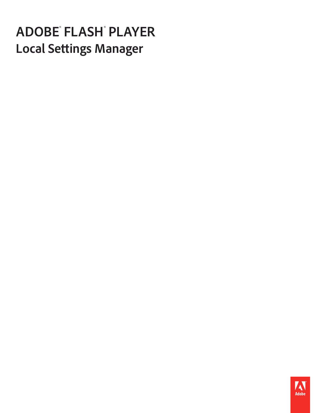# **ADOBE<sup>®</sup> FLASH**<br>Local Settings M **anager Local Settings Manager**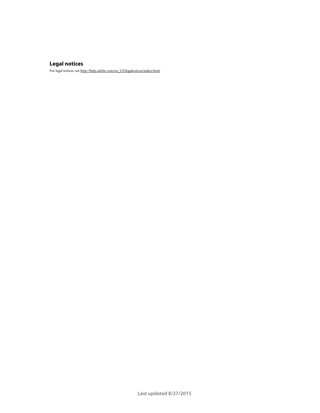### **Legal notices**

For legal notices, see [http://help.adobe.com/en\\_US/legalnotices/index.html.](http://help.adobe.com/en_US/legalnotices/index.html)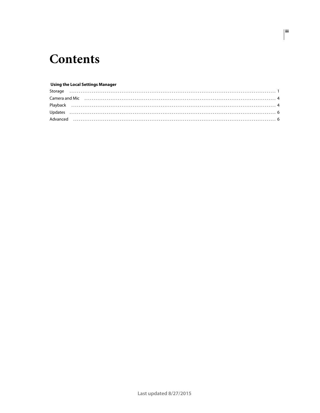# **Contents**

### **Using the Local Settings Manager**

 $|$ iii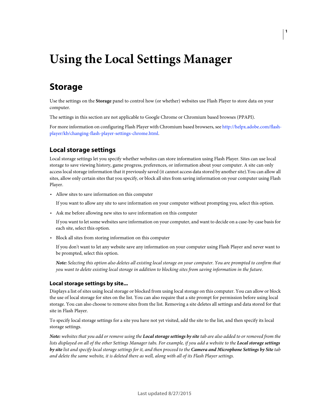# <span id="page-3-0"></span>**Using the Local Settings Manager**

# <span id="page-3-1"></span>**Storage**

Use the settings on the **Storage** panel to control how (or whether) websites use Flash Player to store data on your computer.

The settings in this section are not applicable to Google Chrome or Chromium based browses (PPAPI).

For more information on configuring Flash Player with Chromium based browsers, see [http://helpx.adobe.com/flash](http://helpx.adobe.com/flash-player/kb/changing-flash-player-settings-chrome.html)[player/kb/changing-flash-player-settings-chrome.html.](http://helpx.adobe.com/flash-player/kb/changing-flash-player-settings-chrome.html)

### **Local storage settings**

Local storage settings let you specify whether websites can store information using Flash Player. Sites can use local storage to save viewing history, game progress, preferences, or information about your computer. A site can only access local storage information that it previously saved (it cannot access data stored by another site).You can allow all sites, allow only certain sites that you specify, or block all sites from saving information on your computer using Flash Player.

• Allow sites to save information on this computer

If you want to allow any site to save information on your computer without prompting you, select this option.

• Ask me before allowing new sites to save information on this computer

If you want to let some websites save information on your computer, and want to decide on a case-by-case basis for each site, select this option.

• Block all sites from storing information on this computer

If you don't want to let any website save any information on your computer using Flash Player and never want to be prompted, select this option.

*Note: Selecting this option also deletes all existing local storage on your computer. You are prompted to confirm that you want to delete existing local storage in addition to blocking sites from saving information in the future.*

#### **Local storage settings by site...**

Displays a list of sites using local storage or blocked from using local storage on this computer. You can allow or block the use of local storage for sites on the list. You can also require that a site prompt for permission before using local storage. You can also choose to remove sites from the list. Removing a site deletes all settings and data stored for that site in Flash Player.

To specify local storage settings for a site you have not yet visited, add the site to the list, and then specify its local storage settings.

*Note: websites that you add or remove using the Local storage settings by site tab are also added to or removed from the*  lists displayed on all of the other Settings Manager tabs. For example, if you add a website to the **Local storage settings** *by site list and specify local storage settings for it, and then proceed to the Camera and Microphone Settings by Site tab and delete the same website, it is deleted there as well, along with all of its Flash Player settings.*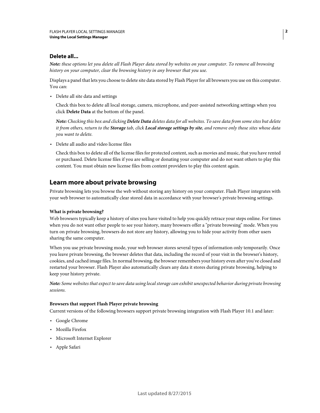### **Delete all...**

*Note: these options let you delete all Flash Player data stored by websites on your computer. To remove all browsing history on your computer, clear the browsing history in any browser that you use.*

Displays a panel that lets you choose to delete site data stored by Flash Player for all browsers you use on this computer. You can:

• Delete all site data and settings

Check this box to delete all local storage, camera, microphone, and peer-assisted networking settings when you click **Delete Data** at the bottom of the panel.

*Note: Checking this box and clicking Delete Data deletes data for all websites. To save data from some sites but delete it from others, return to the Storage tab, click Local storage settings by site, and remove only those sites whose data you want to delete.*

• Delete all audio and video license files

Check this box to delete all of the license files for protected content, such as movies and music, that you have rented or purchased. Delete license files if you are selling or donating your computer and do not want others to play this content. You must obtain new license files from content providers to play this content again.

# **Learn more about private browsing**

Private browsing lets you browse the web without storing any history on your computer. Flash Player integrates with your web browser to automatically clear stored data in accordance with your browser's private browsing settings.

### **What is private browsing?**

Web browsers typically keep a history of sites you have visited to help you quickly retrace your steps online. For times when you do not want other people to see your history, many browsers offer a "private browsing" mode. When you turn on private browsing, browsers do not store any history, allowing you to hide your activity from other users sharing the same computer.

When you use private browsing mode, your web browser stores several types of information only temporarily. Once you leave private browsing, the browser deletes that data, including the record of your visit in the browser's history, cookies, and cached image files. In normal browsing, the browser remembers your history even after you've closed and restarted your browser. Flash Player also automatically clears any data it stores during private browsing, helping to keep your history private.

*Note: Some websites that expect to save data using local storage can exhibit unexpected behavior during private browsing sessions.* 

### **Browsers that support Flash Player private browsing**

Current versions of the following browsers support private browsing integration with Flash Player 10.1 and later:

- Google Chrome
- Mozilla Firefox
- Microsoft Internet Explorer
- Apple Safari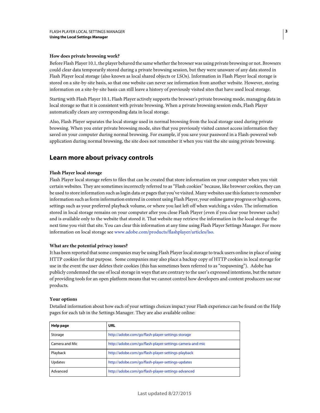#### **How does private browsing work?**

Before Flash Player 10.1, the player behaved the same whether the browser was using private browsing or not. Browsers could clear data temporarily stored during a private browsing session, but they were unaware of any data stored in Flash Player local storage (also known as local shared objects or LSOs). Information in Flash Player local storage is stored on a site-by-site basis, so that one website can never see information from another website. However, storing information on a site-by-site basis can still leave a history of previously visited sites that have used local storage.

Starting with Flash Player 10.1, Flash Player actively supports the browser's private browsing mode, managing data in local storage so that it is consistent with private browsing. When a private browsing session ends, Flash Player automatically clears any corresponding data in local storage.

Also, Flash Player separates the local storage used in normal browsing from the local storage used during private browsing. When you enter private browsing mode, sites that you previously visited cannot access information they saved on your computer during normal browsing. For example, if you save your password in a Flash-powered web application during normal browsing, the site does not remember it when you visit the site using private browsing.

### **Learn more about privacy controls**

### **Flash Player local storage**

Flash Player local storage refers to files that can be created that store information on your computer when you visit certain websites. They are sometimes incorrectly referred to as "Flash cookies" because, like browser cookies, they can be used to store information such as login data or pages that you've visited. Many websites use this feature to remember information such as form information entered in content using Flash Player, your online game progress or high scores, settings such as your preferred playback volume, or where you last left off when watching a video. The information stored in local storage remains on your computer after you close Flash Player (even if you clear your browser cache) and is available only to the website that stored it. That website may retrieve the information in the local storage the next time you visit that site. You can clear this information at any time using Flash Player Settings Manager. For more information on local storage see [www.adobe.com/products/flashplayer/articles/lso.](http://www.adobe.com/products/flashplayer/articles/Iso)

### **What are the potential privacy issues?**

It has been reported that some companies may be using Flash Player local storage to track users online in place of using HTTP cookies for that purpose. Some companies may also place a backup copy of HTTP cookies in local storage for use in the event the user deletes their cookies (this has sometimes been referred to as "respawning"). Adobe has publicly condemned the use of local storage in ways that are contrary to the user's expressed intentions, but the nature of providing tools for an open platform means that we cannot control how developers and content producers use our products.

### **Your options**

Detailed information about how each of your settings choices impact your Flash experience can be found on the Help pages for each tab in the Settings Manager. They are also available online:

| <b>Help page</b> | <b>URL</b>                                               |
|------------------|----------------------------------------------------------|
| Storage          | http://adobe.com/go/flash-player-settings-storage        |
| Camera and Mic   | http://adobe.com/go/flash-player-settings-camera-and-mic |
| Playback         | http://adobe.com/go/flash-player-settings-playback       |
| Updates          | http://adobe.com/go/flash-player-settings-updates        |
| Advanced         | http://adobe.com/go/flash-player-settings-advanced       |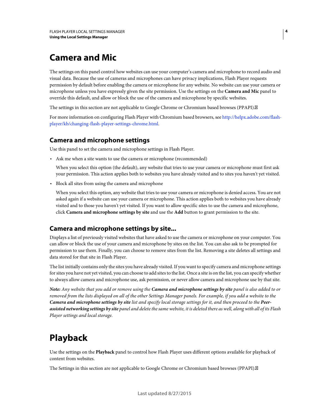# <span id="page-6-0"></span>**Camera and Mic**

The settings on this panel control how websites can use your computer's camera and microphone to record audio and visual data. Because the use of cameras and microphones can have privacy implications, Flash Player requests permission by default before enabling the camera or microphone for any website. No website can use your camera or microphone unless you have expressly given the site permission. Use the settings on the **Camera and Mic** panel to override this default, and allow or block the use of the camera and microphone by specific websites.

The settings in this section are not applicable to Google Chrome or Chromium based browses (PPAPI).

For more information on configuring Flash Player with Chromium based browsers, see [http://helpx.adobe.com/flash](http://helpx.adobe.com/flash-player/kb/changing-flash-player-settings-chrome.html)[player/kb/changing-flash-player-settings-chrome.html.](http://helpx.adobe.com/flash-player/kb/changing-flash-player-settings-chrome.html)

### **Camera and microphone settings**

Use this panel to set the camera and microphone settings in Flash Player.

• Ask me when a site wants to use the camera or microphone (recommended)

When you select this option (the default), any website that tries to use your camera or microphone must first ask your permission. This action applies both to websites you have already visited and to sites you haven't yet visited.

• Block all sites from using the camera and microphone

When you select this option, any website that tries to use your camera or microphone is denied access. You are not asked again if a website can use your camera or microphone. This action applies both to websites you have already visited and to those you haven't yet visited. If you want to allow specific sites to use the camera and microphone, click **Camera and microphone settings by site** and use the **Add** button to grant permission to the site.

# **Camera and microphone settings by site...**

Displays a list of previously visited websites that have asked to use the camera or microphone on your computer. You can allow or block the use of your camera and microphone by sites on the list. You can also ask to be prompted for permission to use them. Finally, you can choose to remove sites from the list. Removing a site deletes all settings and data stored for that site in Flash Player.

The list initially contains only the sites you have already visited. If you want to specify camera and microphone settings for sites you have not yet visited, you can choose to add sites to the list. Once a site is on the list, you can specify whether to always allow camera and microphone use, ask permission, or never allow camera and microphone use by that site.

*Note: Any website that you add or remove using the Camera and microphone settings by site panel is also added to or removed from the lists displayed on all of the other Settings Manager panels. For example, if you add a website to the Camera and microphone settings by site list and specify local storage settings for it, and then proceed to the Peerassisted networking settings by site panel and delete the same website, it is deleted there as well, along with all of its Flash Player settings and local storage.*

# <span id="page-6-1"></span>**Playback**

Use the settings on the **Playback** panel to control how Flash Player uses different options available for playback of content from websites.

The Settings in this section are not applicable to Google Chrome or Chromium based browses (PPAPI).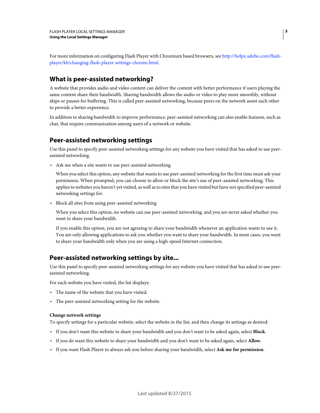For more information on configuring Flash Player with Chromium based browsers, see [http://helpx.adobe.com/flash](http://helpx.adobe.com/flash-player/kb/changing-flash-player-settings-chrome.html)[player/kb/changing-flash-player-settings-chrome.html.](http://helpx.adobe.com/flash-player/kb/changing-flash-player-settings-chrome.html)

# **What is peer-assisted networking?**

A website that provides audio and video content can deliver the content with better performance if users playing the same content share their bandwidth. Sharing bandwidth allows the audio or video to play more smoothly, without skips or pauses for buffering. This is called peer-assisted networking, because peers on the network assist each other to provide a better experience.

In addition to sharing bandwidth to improve performance, peer-assisted networking can also enable features, such as chat, that require communication among users of a network or website.

# **Peer-assisted networking settings**

Use this panel to specify peer-assisted networking settings for any website you have visited that has asked to use peerassisted networking.

• Ask me when a site wants to use peer-assisted networking

When you select this option, any website that wants to use peer-assisted networking for the first time must ask your permission. When prompted, you can choose to allow or block the site's use of peer-assisted networking. This applies to websites you haven't yet visited, as well as to sites that you have visited but have not specified peer-assisted networking settings for.

• Block all sites from using peer-assisted networking

When you select this option, no website can use peer-assisted networking, and you are never asked whether you want to share your bandwidth.

If you enable this option, you are not agreeing to share your bandwidth whenever an application wants to use it. You are only allowing applications to ask you whether you want to share your bandwidth. In most cases, you want to share your bandwidth only when you are using a high-speed Internet connection.

# **Peer-assisted networking settings by site...**

Use this panel to specify peer-assisted networking settings for any website you have visited that has asked to use peerassisted networking.

For each website you have visited, the list displays:

- The name of the website that you have visited.
- The peer-assisted networking setting for the website.

### **Change network settings**

To specify settings for a particular website, select the website in the list, and then change its settings as desired:

- If you don't want this website to share your bandwidth and you don't want to be asked again, select **Block**.
- If you do want this website to share your bandwidth and you don't want to be asked again, select **Allow**.
- If you want Flash Player to always ask you before sharing your bandwidth, select **Ask me for permission**.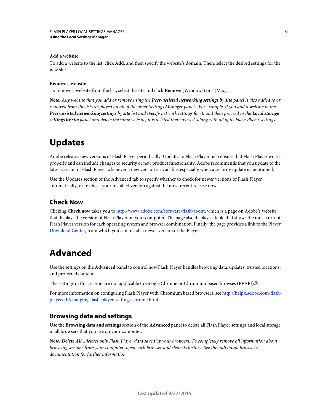### **Add a website**

To add a website to the list, click **Add**, and then specify the website's domain. Then, select the desired settings for the new site.

### **Remove a website**

To remove a website from the list, select the site and click **Remove** (Windows) or **-** (Mac).

*Note: Any website that you add or remove using the Peer-assisted networking settings by site panel is also added to or removed from the lists displayed on all of the other Settings Manager panels. For example, if you add a website to the Peer-assisted networking settings by site list and specify network settings for it, and then proceed to the Local storage settings by site panel and delete the same website, it is deleted there as well, along with all of its Flash Player settings.*

# <span id="page-8-0"></span>**Updates**

Adobe releases new versions of Flash Player periodically. Updates to Flash Player help ensure that Flash Player works properly and can include changes to security or new product functionality. Adobe recommends that you update to the latest version of Flash Player whenever a new version is available, especially when a security update is mentioned.

Use the Updates section of the Advanced tab to specify whether to check for newer versions of Flash Player automatically, or to check your installed version against the most recent release now.

# **Check Now**

Clicking **Check now** takes you to [http://www.adobe.com/software/flash/about,](http://www.adobe.com/software/flash/about) which is a page on Adobe's website that displays the version of Flash Player on your computer. The page also displays a table that shows the most current Flash [Player](http://www.adobe.com/go/getflash) version for each operating system and browser combination. Finally, the page provides a link to the Player [Download Center](http://www.adobe.com/go/getflash), from which you can install a newer version of the Player.

# <span id="page-8-1"></span>**Advanced**

Use the settings on the **Advanced** panel to control how Flash Player handles browsing data, updates, trusted locations, and protected content.

The settings in this section are not applicable to Google Chrome or Chromium based browses (PPAPI).

For more information on configuring Flash Player with Chromium based browsers, see [http://helpx.adobe.com/flash](http://helpx.adobe.com/flash-player/kb/changing-flash-player-settings-chrome.html)[player/kb/changing-flash-player-settings-chrome.html.](http://helpx.adobe.com/flash-player/kb/changing-flash-player-settings-chrome.html)

# **Browsing data and settings**

Use the **Browsing data and settings** section of the **Advanced** panel to delete all Flash Player settings and local storage in all browsers that you use on your computer.

*Note: Delete All...deletes only Flash Player data saved by your browsers. To completely remove all information about browsing sessions from your computer, open each browser and clear its history. See the individual browser's documentation for further information.*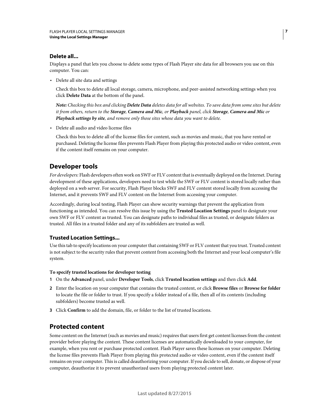### **Delete all...**

Displays a panel that lets you choose to delete some types of Flash Player site data for all browsers you use on this computer. You can:

• Delete all site data and settings

Check this box to delete all local storage, camera, microphone, and peer-assisted networking settings when you click **Delete Data** at the bottom of the panel.

*Note: Checking this box and clicking Delete Data deletes data for all websites. To save data from some sites but delete it from others, return to the Storage, Camera and Mic, or Playback panel, click Storage, Camera and Mic or Playback settings by site, and remove only those sites whose data you want to delete.*

• Delete all audio and video license files

Check this box to delete all of the license files for content, such as movies and music, that you have rented or purchased. Deleting the license files prevents Flash Player from playing this protected audio or video content, even if the content itself remains on your computer.

# **Developer tools**

*For developers:* Flash developers often work on SWF or FLV content that is eventually deployed on the Internet. During development of these applications, developers need to test while the SWF or FLV content is stored locally rather than deployed on a web server. For security, Flash Player blocks SWF and FLV content stored locally from accessing the Internet, and it prevents SWF and FLV content on the Internet from accessing your computer.

Accordingly, during local testing, Flash Player can show security warnings that prevent the application from functioning as intended. You can resolve this issue by using the **Trusted Location Settings** panel to designate your own SWF or FLV content as trusted. You can designate paths to individual files as trusted, or designate folders as trusted. All files in a trusted folder and any of its subfolders are trusted as well.

### **Trusted Location Settings...**

Use this tab to specify locations on your computer that containing SWF or FLV content that you trust. Trusted content is not subject to the security rules that prevent content from accessing both the Internet and your local computer's file system.

### **To specify trusted locations for developer testing**

- **1** On the **Advanced** panel, under **Developer Tools**, click **Trusted location settings** and then click **Add**.
- **2** Enter the location on your computer that contains the trusted content, or click **Browse files** or **Browse for folder** to locate the file or folder to trust. If you specify a folder instead of a file, then all of its contents (including subfolders) become trusted as well.
- **3** Click **Confirm** to add the domain, file, or folder to the list of trusted locations.

# **Protected content**

Some content on the Internet (such as movies and music) requires that users first get content licenses from the content provider before playing the content. These content licenses are automatically downloaded to your computer, for example, when you rent or purchase protected content. Flash Player saves these licenses on your computer. Deleting the license files prevents Flash Player from playing this protected audio or video content, even if the content itself remains on your computer. This is called deauthorizing your computer. If you decide to sell, donate, or dispose of your computer, deauthorize it to prevent unauthorized users from playing protected content later.